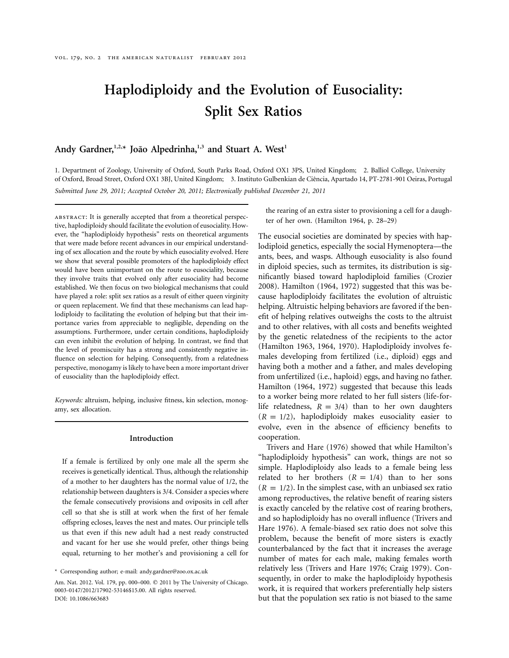# **Haplodiploidy and the Evolution of Eusociality: Split Sex Ratios**

## Andy Gardner,<sup>1,2,\*</sup> João Alpedrinha,<sup>1,3</sup> and Stuart A. West<sup>1</sup>

1. Department of Zoology, University of Oxford, South Parks Road, Oxford OX1 3PS, United Kingdom; 2. Balliol College, University of Oxford, Broad Street, Oxford OX1 3BJ, United Kingdom; 3. Instituto Gulbenkian de Ciência, Apartado 14, PT-2781-901 Oeiras, Portugal *Submitted June 29, 2011; Accepted October 20, 2011; Electronically published December 21, 2011*

abstract: It is generally accepted that from a theoretical perspective, haplodiploidy should facilitate the evolution of eusociality. However, the "haplodiploidy hypothesis" rests on theoretical arguments that were made before recent advances in our empirical understanding of sex allocation and the route by which eusociality evolved. Here we show that several possible promoters of the haplodiploidy effect would have been unimportant on the route to eusociality, because they involve traits that evolved only after eusociality had become established. We then focus on two biological mechanisms that could have played a role: split sex ratios as a result of either queen virginity or queen replacement. We find that these mechanisms can lead haplodiploidy to facilitating the evolution of helping but that their importance varies from appreciable to negligible, depending on the assumptions. Furthermore, under certain conditions, haplodiploidy can even inhibit the evolution of helping. In contrast, we find that the level of promiscuity has a strong and consistently negative influence on selection for helping. Consequently, from a relatedness perspective, monogamy is likely to have been a more important driver of eusociality than the haplodiploidy effect.

*Keywords:* altruism, helping, inclusive fitness, kin selection, monogamy, sex allocation.

#### **Introduction**

If a female is fertilized by only one male all the sperm she receives is genetically identical. Thus, although the relationship of a mother to her daughters has the normal value of 1/2, the relationship between daughters is 3/4. Consider a species where the female consecutively provisions and oviposits in cell after cell so that she is still at work when the first of her female offspring ecloses, leaves the nest and mates. Our principle tells us that even if this new adult had a nest ready constructed and vacant for her use she would prefer, other things being equal, returning to her mother's and provisioning a cell for

the rearing of an extra sister to provisioning a cell for a daughter of her own. (Hamilton 1964, p. 28–29)

The eusocial societies are dominated by species with haplodiploid genetics, especially the social Hymenoptera—the ants, bees, and wasps. Although eusociality is also found in diploid species, such as termites, its distribution is significantly biased toward haplodiploid families (Crozier 2008). Hamilton (1964, 1972) suggested that this was because haplodiploidy facilitates the evolution of altruistic helping. Altruistic helping behaviors are favored if the benefit of helping relatives outweighs the costs to the altruist and to other relatives, with all costs and benefits weighted by the genetic relatedness of the recipients to the actor (Hamilton 1963, 1964, 1970). Haplodiploidy involves females developing from fertilized (i.e., diploid) eggs and having both a mother and a father, and males developing from unfertilized (i.e., haploid) eggs, and having no father. Hamilton (1964, 1972) suggested that because this leads to a worker being more related to her full sisters (life-forlife relatedness,  $R = 3/4$  than to her own daughters  $(R = 1/2)$ , haplodiploidy makes eusociality easier to evolve, even in the absence of efficiency benefits to cooperation.

Trivers and Hare (1976) showed that while Hamilton's "haplodiploidy hypothesis" can work, things are not so simple. Haplodiploidy also leads to a female being less related to her brothers  $(R = 1/4)$  than to her sons  $(R = 1/2)$ . In the simplest case, with an unbiased sex ratio among reproductives, the relative benefit of rearing sisters is exactly canceled by the relative cost of rearing brothers, and so haplodiploidy has no overall influence (Trivers and Hare 1976). A female-biased sex ratio does not solve this problem, because the benefit of more sisters is exactly counterbalanced by the fact that it increases the average number of mates for each male, making females worth relatively less (Trivers and Hare 1976; Craig 1979). Consequently, in order to make the haplodiploidy hypothesis work, it is required that workers preferentially help sisters but that the population sex ratio is not biased to the same

<sup>\*</sup> Corresponding author; e-mail: [andy.gardner@zoo.ox.ac.uk](mailto:andy.gardner@zoo.ox.ac.uk)

Am. Nat. 2012. Vol. 179, pp. 000–000. 2011 by The University of Chicago. 0003-0147/2012/17902-53146\$15.00. All rights reserved. DOI: 10.1086/663683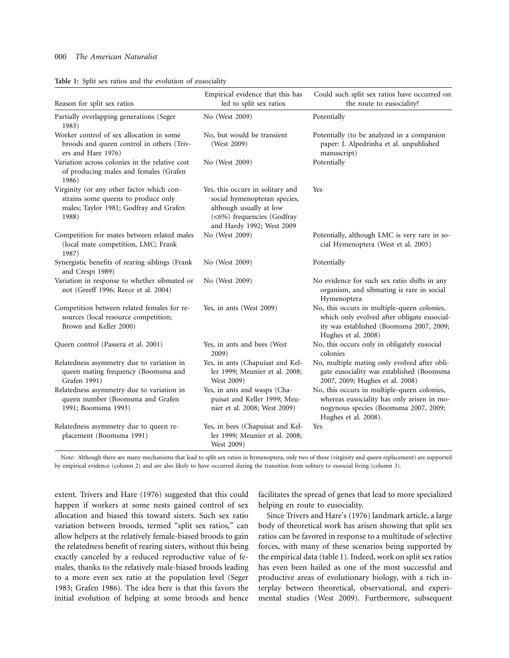## 000 *The American Naturalist*

| Table 1: Split sex ratios and the evolution of eusociality |  |
|------------------------------------------------------------|--|
|------------------------------------------------------------|--|

| Reason for split sex ratios                                                                                                         | Empirical evidence that this has<br>led to split sex ratios                                                                                            | Could such split sex ratios have occurred on<br>the route to eusociality?                                                                                     |
|-------------------------------------------------------------------------------------------------------------------------------------|--------------------------------------------------------------------------------------------------------------------------------------------------------|---------------------------------------------------------------------------------------------------------------------------------------------------------------|
| Partially overlapping generations (Seger<br>1983)                                                                                   | No (West 2009)                                                                                                                                         | Potentially                                                                                                                                                   |
| Worker control of sex allocation in some<br>broods and queen control in others (Triv-<br>ers and Hare 1976)                         | No, but would be transient<br>(West 2009)                                                                                                              | Potentially (to be analyzed in a companion<br>paper: J. Alpedrinha et al. unpublished<br>manuscript)                                                          |
| Variation across colonies in the relative cost<br>of producing males and females (Grafen<br>1986)                                   | No (West 2009)                                                                                                                                         | Potentially                                                                                                                                                   |
| Virginity (or any other factor which con-<br>strains some queens to produce only<br>males; Taylor 1981; Godfray and Grafen<br>1988) | Yes, this occurs in solitary and<br>social hymenopteran species,<br>although usually at low<br>(<6%) frequencies (Godfray<br>and Hardy 1992; West 2009 | Yes                                                                                                                                                           |
| Competition for mates between related males<br>(local mate competition, LMC; Frank<br>1987)                                         | No (West 2009)                                                                                                                                         | Potentially, although LMC is very rare in so-<br>cial Hymenoptera (West et al. 2005)                                                                          |
| Synergistic benefits of rearing siblings (Frank<br>and Crespi 1989)                                                                 | No (West 2009)                                                                                                                                         | Potentially                                                                                                                                                   |
| Variation in response to whether sibmated or<br>not (Greeff 1996; Reece et al. 2004)                                                | No (West 2009)                                                                                                                                         | No evidence for such sex ratio shifts in any<br>organism, and sibmating is rare in social<br>Hymenoptera                                                      |
| Competition between related females for re-<br>sources (local resource competition;<br>Brown and Keller 2000)                       | Yes, in ants (West 2009)                                                                                                                               | No, this occurs in multiple-queen colonies,<br>which only evolved after obligate eusocial-<br>ity was established (Boomsma 2007, 2009;<br>Hughes et al. 2008) |
| Queen control (Passera et al. 2001)                                                                                                 | Yes, in ants and bees (West<br>2009)                                                                                                                   | No, this occurs only in obligately eusocial<br>colonies                                                                                                       |
| Relatedness asymmetry due to variation in<br>queen mating frequency (Boomsma and<br>Grafen 1991)                                    | Yes, in ants (Chapuisat and Kel-<br>ler 1999; Meunier et al. 2008;<br>West 2009)                                                                       | No, multiple mating only evolved after obli-<br>gate eusociality was established (Boomsma<br>2007, 2009; Hughes et al. 2008)                                  |
| Relatedness asymmetry due to variation in<br>queen number (Boomsma and Grafen<br>1991; Boomsma 1993)                                | Yes, in ants and wasps (Cha-<br>puisat and Keller 1999; Meu-<br>nier et al. 2008; West 2009)                                                           | No, this occurs in multiple-queen colonies,<br>whereas eusociality has only arisen in mo-<br>nogynous species (Boomsma 2007, 2009;<br>Hughes et al. 2008).    |
| Relatedness asymmetry due to queen re-<br>placement (Boomsma 1991)                                                                  | Yes, in bees (Chapuisat and Kel-<br>ler 1999; Meunier et al. 2008;<br>West 2009)                                                                       | Yes                                                                                                                                                           |

Note: Although there are many mechanisms that lead to split sex ratios in hymenoptera, only two of these (virginity and queen replacement) are supported by empirical evidence (column 2) and are also likely to have occurred during the transition from solitary to eusocial living (column 3).

extent. Trivers and Hare (1976) suggested that this could happen if workers at some nests gained control of sex allocation and biased this toward sisters. Such sex ratio variation between broods, termed "split sex ratios," can allow helpers at the relatively female-biased broods to gain the relatedness benefit of rearing sisters, without this being exactly canceled by a reduced reproductive value of females, thanks to the relatively male-biased broods leading to a more even sex ratio at the population level (Seger 1983; Grafen 1986). The idea here is that this favors the initial evolution of helping at some broods and hence

facilitates the spread of genes that lead to more specialized helping en route to eusociality.

Since Trivers and Hare's (1976) landmark article, a large body of theoretical work has arisen showing that split sex ratios can be favored in response to a multitude of selective forces, with many of these scenarios being supported by the empirical data (table 1). Indeed, work on split sex ratios has even been hailed as one of the most successful and productive areas of evolutionary biology, with a rich interplay between theoretical, observational, and experimental studies (West 2009). Furthermore, subsequent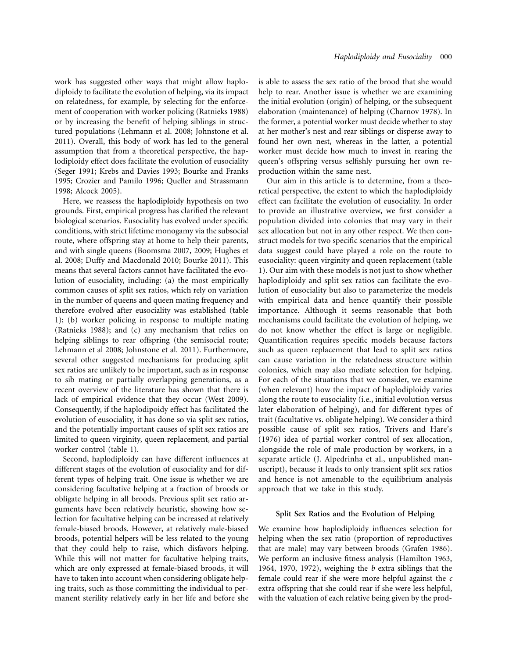work has suggested other ways that might allow haplodiploidy to facilitate the evolution of helping, via its impact on relatedness, for example, by selecting for the enforcement of cooperation with worker policing (Ratnieks 1988) or by increasing the benefit of helping siblings in structured populations (Lehmann et al. 2008; Johnstone et al. 2011). Overall, this body of work has led to the general assumption that from a theoretical perspective, the haplodiploidy effect does facilitate the evolution of eusociality (Seger 1991; Krebs and Davies 1993; Bourke and Franks 1995; Crozier and Pamilo 1996; Queller and Strassmann 1998; Alcock 2005).

Here, we reassess the haplodiploidy hypothesis on two grounds. First, empirical progress has clarified the relevant biological scenarios. Eusociality has evolved under specific conditions, with strict lifetime monogamy via the subsocial route, where offspring stay at home to help their parents, and with single queens (Boomsma 2007, 2009; Hughes et al. 2008; Duffy and Macdonald 2010; Bourke 2011). This means that several factors cannot have facilitated the evolution of eusociality, including: (a) the most empirically common causes of split sex ratios, which rely on variation in the number of queens and queen mating frequency and therefore evolved after eusociality was established (table 1); (b) worker policing in response to multiple mating (Ratnieks 1988); and (c) any mechanism that relies on helping siblings to rear offspring (the semisocial route; Lehmann et al 2008; Johnstone et al. 2011). Furthermore, several other suggested mechanisms for producing split sex ratios are unlikely to be important, such as in response to sib mating or partially overlapping generations, as a recent overview of the literature has shown that there is lack of empirical evidence that they occur (West 2009). Consequently, if the haplodipoidy effect has facilitated the evolution of eusociality, it has done so via split sex ratios, and the potentially important causes of split sex ratios are limited to queen virginity, queen replacement, and partial worker control (table 1).

Second, haplodiploidy can have different influences at different stages of the evolution of eusociality and for different types of helping trait. One issue is whether we are considering facultative helping at a fraction of broods or obligate helping in all broods. Previous split sex ratio arguments have been relatively heuristic, showing how selection for facultative helping can be increased at relatively female-biased broods. However, at relatively male-biased broods, potential helpers will be less related to the young that they could help to raise, which disfavors helping. While this will not matter for facultative helping traits, which are only expressed at female-biased broods, it will have to taken into account when considering obligate helping traits, such as those committing the individual to permanent sterility relatively early in her life and before she is able to assess the sex ratio of the brood that she would help to rear. Another issue is whether we are examining the initial evolution (origin) of helping, or the subsequent elaboration (maintenance) of helping (Charnov 1978). In the former, a potential worker must decide whether to stay at her mother's nest and rear siblings or disperse away to found her own nest, whereas in the latter, a potential worker must decide how much to invest in rearing the queen's offspring versus selfishly pursuing her own reproduction within the same nest.

Our aim in this article is to determine, from a theoretical perspective, the extent to which the haplodiploidy effect can facilitate the evolution of eusociality. In order to provide an illustrative overview, we first consider a population divided into colonies that may vary in their sex allocation but not in any other respect. We then construct models for two specific scenarios that the empirical data suggest could have played a role on the route to eusociality: queen virginity and queen replacement (table 1). Our aim with these models is not just to show whether haplodiploidy and split sex ratios can facilitate the evolution of eusociality but also to parameterize the models with empirical data and hence quantify their possible importance. Although it seems reasonable that both mechanisms could facilitate the evolution of helping, we do not know whether the effect is large or negligible. Quantification requires specific models because factors such as queen replacement that lead to split sex ratios can cause variation in the relatedness structure within colonies, which may also mediate selection for helping. For each of the situations that we consider, we examine (when relevant) how the impact of haplodiploidy varies along the route to eusociality (i.e., initial evolution versus later elaboration of helping), and for different types of trait (facultative vs. obligate helping). We consider a third possible cause of split sex ratios, Trivers and Hare's (1976) idea of partial worker control of sex allocation, alongside the role of male production by workers, in a separate article (J. Alpedrinha et al., unpublished manuscript), because it leads to only transient split sex ratios and hence is not amenable to the equilibrium analysis approach that we take in this study.

#### **Split Sex Ratios and the Evolution of Helping**

We examine how haplodiploidy influences selection for helping when the sex ratio (proportion of reproductives that are male) may vary between broods (Grafen 1986). We perform an inclusive fitness analysis (Hamilton 1963, 1964, 1970, 1972), weighing the *b* extra siblings that the female could rear if she were more helpful against the *c* extra offspring that she could rear if she were less helpful, with the valuation of each relative being given by the prod-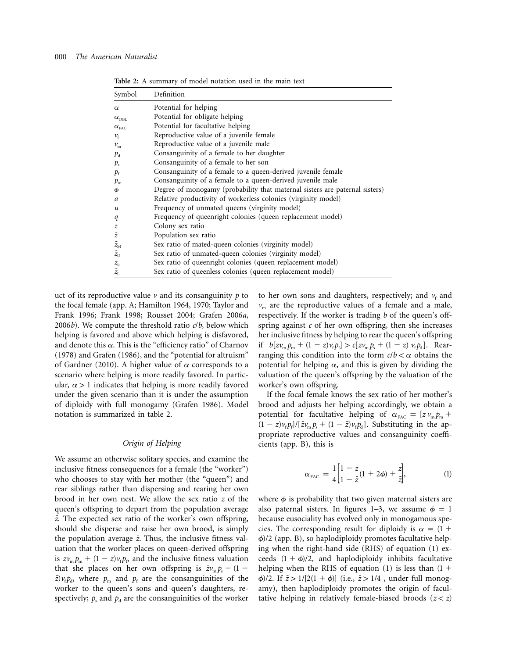| Definition                                                                  |
|-----------------------------------------------------------------------------|
| Potential for helping                                                       |
| Potential for obligate helping                                              |
| Potential for facultative helping                                           |
| Reproductive value of a juvenile female                                     |
| Reproductive value of a juvenile male                                       |
| Consanguinity of a female to her daughter                                   |
| Consanguinity of a female to her son                                        |
| Consanguinity of a female to a queen-derived juvenile female                |
| Consanguinity of a female to a queen-derived juvenile male                  |
| Degree of monogamy (probability that maternal sisters are paternal sisters) |
| Relative productivity of workerless colonies (virginity model)              |
| Frequency of unmated queens (virginity model)                               |
| Frequency of queenright colonies (queen replacement model)                  |
| Colony sex ratio                                                            |
| Population sex ratio                                                        |
| Sex ratio of mated-queen colonies (virginity model)                         |
| Sex ratio of unmated-queen colonies (virginity model)                       |
| Sex ratio of queenright colonies (queen replacement model)                  |
| Sex ratio of queenless colonies (queen replacement model)                   |
|                                                                             |

**Table 2:** A summary of model notation used in the main text

uct of its reproductive value  $\nu$  and its consanguinity  $\nu$  to the focal female (app. A; Hamilton 1964, 1970; Taylor and Frank 1996; Frank 1998; Rousset 2004; Grafen 2006*a*, 2006*b*). We compute the threshold ratio *c*/*b*, below which helping is favored and above which helping is disfavored, and denote this  $\alpha$ . This is the "efficiency ratio" of Charnov (1978) and Grafen (1986), and the "potential for altruism" of Gardner (2010). A higher value of  $\alpha$  corresponds to a scenario where helping is more readily favored. In particular,  $\alpha > 1$  indicates that helping is more readily favored under the given scenario than it is under the assumption of diploidy with full monogamy (Grafen 1986). Model notation is summarized in table 2.

## *Origin of Helping*

We assume an otherwise solitary species, and examine the inclusive fitness consequences for a female (the "worker") who chooses to stay with her mother (the "queen") and rear siblings rather than dispersing and rearing her own brood in her own nest. We allow the sex ratio *z* of the queen's offspring to depart from the population average *¯z*. The expected sex ratio of the worker's own offspring, should she disperse and raise her own brood, is simply the population average  $\bar{z}$ . Thus, the inclusive fitness valuation that the worker places on queen-derived offspring is  $z v_m p_m + (1 - z) v_f p_p$  and the inclusive fitness valuation that she places on her own offspring is  $\bar{z}v_m p_s + (1 \bar{z}$ ) $v_f$  $p_d$ , where  $p_m$  and  $p_f$  are the consanguinities of the worker to the queen's sons and queen's daughters, respectively;  $p_s$  and  $p_d$  are the consanguinities of the worker

to her own sons and daughters, respectively; and  $v_f$  and  $v_m$  are the reproductive values of a female and a male, respectively. If the worker is trading *b* of the queen's offspring against *c* of her own offspring, then she increases her inclusive fitness by helping to rear the queen's offspring if  $b[zv_m p_m + (1 - z)v_i p_i] > c[\bar{z}v_m p_s + (1 - \bar{z})v_i p_d]$ . Rearranging this condition into the form  $c/b < \alpha$  obtains the potential for helping  $\alpha$ , and this is given by dividing the valuation of the queen's offspring by the valuation of the worker's own offspring.

If the focal female knows the sex ratio of her mother's brood and adjusts her helping accordingly, we obtain a potential for facultative helping of  $\alpha_{\text{FAC}} = [z v_m p_m +$  $(1 - z)v_f p_f$ / $[\bar{z}v_m p_s + (1 - \bar{z})v_f p_d]$ . Substituting in the appropriate reproductive values and consanguinity coefficients (app. B), this is

$$
\alpha_{\text{FAC}} = \frac{1}{4} \left[ \frac{1-z}{1-\bar{z}} (1+2\phi) + \frac{z}{\bar{z}} \right],\tag{1}
$$

where  $\phi$  is probability that two given maternal sisters are also paternal sisters. In figures 1–3, we assume  $\phi = 1$ because eusociality has evolved only in monogamous species. The corresponding result for diploidy is  $\alpha = (1 +$  $\phi$ /2 (app. B), so haplodiploidy promotes facultative helping when the right-hand side (RHS) of equation (1) exceeds  $(1 + \phi)/2$ , and haplodiploidy inhibits facultative helping when the RHS of equation (1) is less than  $(1 +$  $\phi$ /2. If  $\bar{z} > 1/[2(1 + \phi)]$  (i.e.,  $\bar{z} > 1/4$ , under full monogamy), then haplodiploidy promotes the origin of facultative helping in relatively female-biased broods  $(z \le \bar{z})$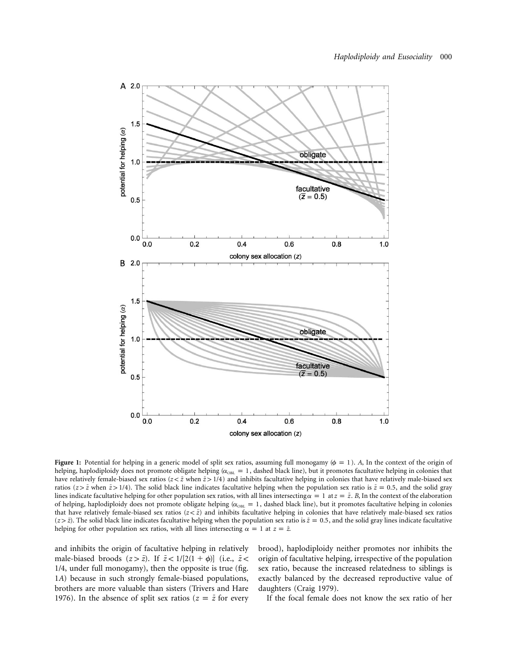

**Figure 1:** Potential for helping in a generic model of split sex ratios, assuming full monogamy ( $\phi = 1$ ). A, In the context of the origin of helping, haplodiploidy does not promote obligate helping ( $\alpha_{\text{OBL}} = 1$ , dashed black line), but it promotes facultative helping in colonies that have relatively female-biased sex ratios ( $z < \bar{z}$  when  $\bar{z} > 1/4$ ) and inhibits facultative helping in colonies that have relatively male-biased sex ratios ( $z > \bar{z}$  when  $\bar{z} > 1/4$ ). The solid black line indicates facultative helping when the population sex ratio is  $\bar{z} = 0.5$ , and the solid gray lines indicate facultative helping for other population sex ratios, with all lines intersecting  $\alpha = 1$  at  $z = \overline{z}$ . B, In the context of the elaboration of helping, haplodiploidy does not promote obligate helping  $(\alpha_{\text{OBL}} = 1)$ , dashed black line), but it promotes facultative helping in colonies that have relatively female-biased sex ratios  $(z \lt z)$  and inhibits facultative helping in colonies that have relatively male-biased sex ratios ( $z > \bar{z}$ ). The solid black line indicates facultative helping when the population sex ratio is  $\bar{z} = 0.5$ , and the solid gray lines indicate facultative helping for other population sex ratios, with all lines intersecting  $\alpha = 1$  at  $z = \overline{z}$ .

and inhibits the origin of facultative helping in relatively male-biased broods  $(z > \bar{z})$ . If  $\bar{z} < 1/[2(1 + \phi)]$  (i.e.,  $\bar{z} <$ 1/4, under full monogamy), then the opposite is true (fig. 1*A*) because in such strongly female-biased populations, brothers are more valuable than sisters (Trivers and Hare 1976). In the absence of split sex ratios ( $z = \overline{z}$  for every

brood), haplodiploidy neither promotes nor inhibits the origin of facultative helping, irrespective of the population sex ratio, because the increased relatedness to siblings is exactly balanced by the decreased reproductive value of daughters (Craig 1979).

If the focal female does not know the sex ratio of her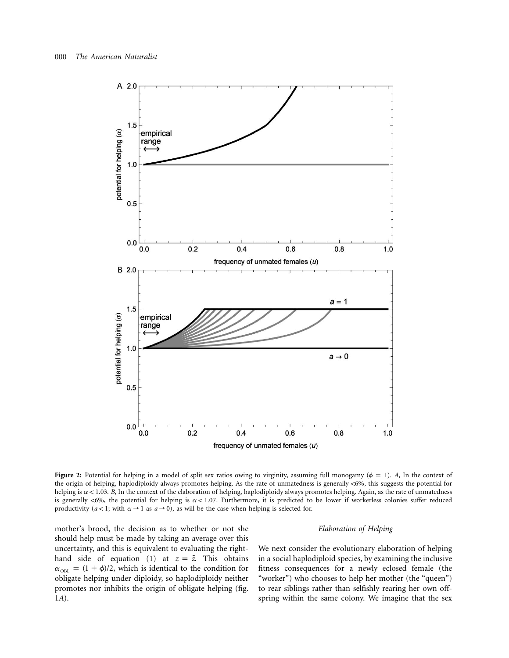

**Figure 2:** Potential for helping in a model of split sex ratios owing to virginity, assuming full monogamy ( $\phi = 1$ ). A, In the context of the origin of helping, haplodiploidy always promotes helping. As the rate of unmatedness is generally <6%, this suggests the potential for helping is  $\alpha$  < 1.03. B, In the context of the elaboration of helping, haplodiploidy always promotes helping. Again, as the rate of unmatedness is generally <6%, the potential for helping is  $\alpha$  < 1.07. Furthermore, it is predicted to be lower if workerless colonies suffer reduced productivity ( $a < 1$ ; with  $\alpha \rightarrow 1$  as  $a \rightarrow 0$ ), as will be the case when helping is selected for.

mother's brood, the decision as to whether or not she should help must be made by taking an average over this uncertainty, and this is equivalent to evaluating the righthand side of equation (1) at  $z = \bar{z}$ . This obtains  $\alpha_{\text{OBL}} = (1 + \phi)/2$ , which is identical to the condition for obligate helping under diploidy, so haplodiploidy neither promotes nor inhibits the origin of obligate helping (fig. 1*A*).

#### *Elaboration of Helping*

We next consider the evolutionary elaboration of helping in a social haplodiploid species, by examining the inclusive fitness consequences for a newly eclosed female (the "worker") who chooses to help her mother (the "queen") to rear siblings rather than selfishly rearing her own offspring within the same colony. We imagine that the sex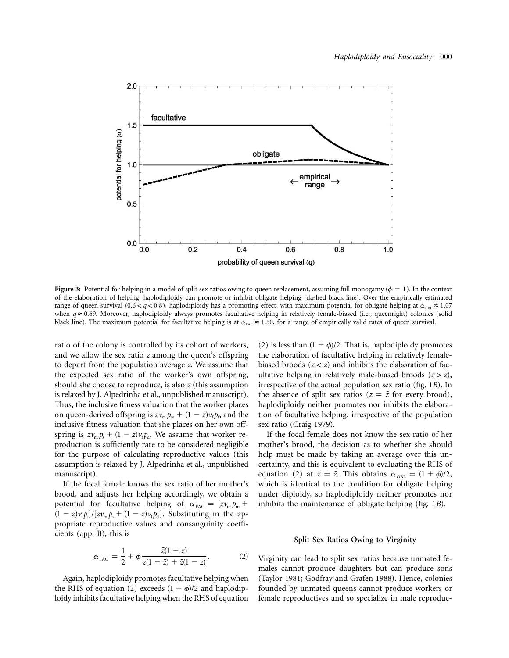

**Figure 3:** Potential for helping in a model of split sex ratios owing to queen replacement, assuming full monogamy ( $\phi = 1$ ). In the context of the elaboration of helping, haplodiploidy can promote or inhibit obligate helping (dashed black line). Over the empirically estimated range of queen survival  $(0.6 < q < 0.8)$ , haplodiploidy has a promoting effect, with maximum potential for obligate helping at  $\alpha_{\text{OBL}} \approx 1.07$ when  $q \approx 0.69$ . Moreover, haplodiploidy always promotes facultative helping in relatively female-biased (i.e., queenright) colonies (solid black line). The maximum potential for facultative helping is at  $\alpha_{FAC} \approx 1.50$ , for a range of empirically valid rates of queen survival.

ratio of the colony is controlled by its cohort of workers, and we allow the sex ratio *z* among the queen's offspring to depart from the population average  $\bar{z}$ . We assume that the expected sex ratio of the worker's own offspring, should she choose to reproduce, is also *z* (this assumption is relaxed by J. Alpedrinha et al., unpublished manuscript). Thus, the inclusive fitness valuation that the worker places on queen-derived offspring is  $z v_{\rm m} p_{\rm m} + (1 - z) v_{\rm f} p_{\rm f}$  and the inclusive fitness valuation that she places on her own offspring is  $zv_m p_s + (1 - z)v_f p_d$ . We assume that worker reproduction is sufficiently rare to be considered negligible for the purpose of calculating reproductive values (this assumption is relaxed by J. Alpedrinha et al., unpublished manuscript).

If the focal female knows the sex ratio of her mother's brood, and adjusts her helping accordingly, we obtain a potential for facultative helping of  $\alpha_{\text{FAC}} = [z v_{\text{m}} p_{\text{m}} +$  $(1 - z)v_{\text{f}}p_{\text{f}}/(zv_{\text{m}}p_{\text{s}} + (1 - z)v_{\text{f}}p_{\text{d}})$ . Substituting in the appropriate reproductive values and consanguinity coefficients (app. B), this is

$$
\alpha_{\text{FAC}} = \frac{1}{2} + \phi \frac{\bar{z}(1-z)}{z(1-\bar{z}) + \bar{z}(1-z)}.
$$
 (2)

Again, haplodiploidy promotes facultative helping when the RHS of equation (2) exceeds  $(1 + \phi)/2$  and haplodiploidy inhibits facultative helping when the RHS of equation

(2) is less than  $(1 + \phi)/2$ . That is, haplodiploidy promotes the elaboration of facultative helping in relatively femalebiased broods  $(z \leq \overline{z})$  and inhibits the elaboration of facultative helping in relatively male-biased broods  $(z > \bar{z})$ , irrespective of the actual population sex ratio (fig. 1*B*). In the absence of split sex ratios ( $z = \overline{z}$  for every brood), haplodiploidy neither promotes nor inhibits the elaboration of facultative helping, irrespective of the population sex ratio (Craig 1979).

If the focal female does not know the sex ratio of her mother's brood, the decision as to whether she should help must be made by taking an average over this uncertainty, and this is equivalent to evaluating the RHS of equation (2) at  $z = \bar{z}$ . This obtains  $\alpha_{\text{OBL}} = (1 + \phi)/2$ , which is identical to the condition for obligate helping under diploidy, so haplodiploidy neither promotes nor inhibits the maintenance of obligate helping (fig. 1*B*).

## **Split Sex Ratios Owing to Virginity**

Virginity can lead to split sex ratios because unmated females cannot produce daughters but can produce sons (Taylor 1981; Godfray and Grafen 1988). Hence, colonies founded by unmated queens cannot produce workers or female reproductives and so specialize in male reproduc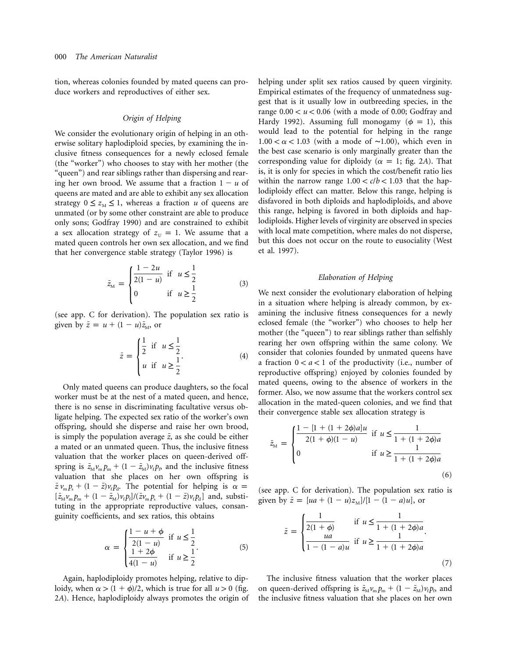tion, whereas colonies founded by mated queens can produce workers and reproductives of either sex.

#### *Origin of Helping*

We consider the evolutionary origin of helping in an otherwise solitary haplodiploid species, by examining the inclusive fitness consequences for a newly eclosed female (the "worker") who chooses to stay with her mother (the "queen") and rear siblings rather than dispersing and rearing her own brood. We assume that a fraction  $1 - u$  of queens are mated and are able to exhibit any sex allocation strategy  $0 \le z_M \le 1$ , whereas a fraction u of queens are unmated (or by some other constraint are able to produce only sons; Godfray 1990) and are constrained to exhibit a sex allocation strategy of  $z<sub>U</sub> = 1$ . We assume that a mated queen controls her own sex allocation, and we find that her convergence stable strategy (Taylor 1996) is

$$
\bar{z}_{\scriptscriptstyle M} = \begin{cases}\n\frac{1 - 2u}{2(1 - u)} & \text{if } u \le \frac{1}{2} \\
0 & \text{if } u \ge \frac{1}{2}\n\end{cases} \tag{3}
$$

(see app. C for derivation). The population sex ratio is given by  $\bar{z} = u + (1 - u)\bar{z}_{M}$ , or

$$
\bar{z} = \begin{cases} \frac{1}{2} & \text{if } u \le \frac{1}{2} \\ u & \text{if } u \ge \frac{1}{2} \end{cases}
$$
 (4)

Only mated queens can produce daughters, so the focal worker must be at the nest of a mated queen, and hence, there is no sense in discriminating facultative versus obligate helping. The expected sex ratio of the worker's own offspring, should she disperse and raise her own brood, is simply the population average  $\bar{z}$ , as she could be either a mated or an unmated queen. Thus, the inclusive fitness valuation that the worker places on queen-derived offspring is  $\bar{z}_M v_m p_m + (1 - \bar{z}_M) v_f p_\rho$  and the inclusive fitness valuation that she places on her own offspring is  $\bar{z} \nu_m p_s + (1 - \bar{z}) \nu_f p_d$ . The potential for helping is  $\alpha =$  $[\bar{z}_{M}v_{m}p_{m} + (1 - \bar{z}_{M})v_{f}p_{f}]/(\bar{z}v_{m}p_{s} + (1 - \bar{z})v_{f}p_{d}]$  and, substituting in the appropriate reproductive values, consanguinity coefficients, and sex ratios, this obtains

$$
\alpha = \begin{cases} \frac{1 - u + \phi}{2(1 - u)} & \text{if } u \le \frac{1}{2} \\ \frac{1 + 2\phi}{4(1 - u)} & \text{if } u \ge \frac{1}{2} \end{cases}
$$
(5)

Again, haplodiploidy promotes helping, relative to diploidy, when  $\alpha$  > (1 +  $\phi$ )/2, which is true for all  $u$  > 0 (fig. 2*A*). Hence, haplodiploidy always promotes the origin of helping under split sex ratios caused by queen virginity. Empirical estimates of the frequency of unmatedness suggest that is it usually low in outbreeding species, in the range  $0.00 < u < 0.06$  (with a mode of 0.00; Godfray and Hardy 1992). Assuming full monogamy ( $\phi = 1$ ), this would lead to the potential for helping in the range  $1.00 < \alpha < 1.03$  (with a mode of ∼1.00), which even in the best case scenario is only marginally greater than the corresponding value for diploidy ( $\alpha = 1$ ; fig. 2A). That is, it is only for species in which the cost/benefit ratio lies within the narrow range  $1.00 < c/b < 1.03$  that the haplodiploidy effect can matter. Below this range, helping is disfavored in both diploids and haplodiploids, and above this range, helping is favored in both diploids and haplodiploids. Higher levels of virginity are observed in species with local mate competition, where males do not disperse, but this does not occur on the route to eusociality (West et al. 1997).

#### *Elaboration of Helping*

We next consider the evolutionary elaboration of helping in a situation where helping is already common, by examining the inclusive fitness consequences for a newly eclosed female (the "worker") who chooses to help her mother (the "queen") to rear siblings rather than selfishly rearing her own offspring within the same colony. We consider that colonies founded by unmated queens have a fraction  $0 < a < 1$  of the productivity (i.e., number of reproductive offspring) enjoyed by colonies founded by mated queens, owing to the absence of workers in the former. Also, we now assume that the workers control sex allocation in the mated-queen colonies, and we find that their convergence stable sex allocation strategy is

$$
\bar{z}_{\scriptscriptstyle M} = \begin{cases}\n\frac{1 - [1 + (1 + 2\phi)a]u}{2(1 + \phi)(1 - u)} & \text{if } u \le \frac{1}{1 + (1 + 2\phi)a} \\
0 & \text{if } u \ge \frac{1}{1 + (1 + 2\phi)a}\n\end{cases}
$$
\n(6)

(see app. C for derivation). The population sex ratio is given by  $\bar{z} = [ua + (1 - u)z_M]/[1 - (1 - a)u]$ , or

$$
\bar{z} = \begin{cases}\n\frac{1}{2(1+\phi)} & \text{if } u \le \frac{1}{1 + (1+2\phi)a} \\
\frac{ua}{1 - (1-a)u} & \text{if } u \ge \frac{1}{1 + (1+2\phi)a}\n\end{cases}
$$
\n(7)

The inclusive fitness valuation that the worker places on queen-derived offspring is  $\bar{z}_M v_m p_m + (1 - \bar{z}_M) v_f p_p$  and the inclusive fitness valuation that she places on her own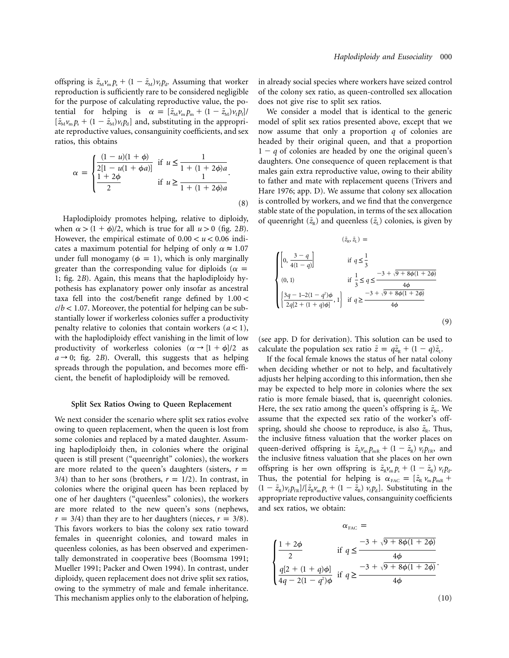offspring is  $\bar{z}_M v_m p_s + (1 - \bar{z}_M) v_f p_d$ . Assuming that worker reproduction is sufficiently rare to be considered negligible for the purpose of calculating reproductive value, the potential for helping is  $\alpha = [\bar{z}_M v_m p_m + (1 - \bar{z}_M) v_f p_f ]/$  $[\bar{z}_{M}v_{m}p_{s} + (1 - \bar{z}_{M})v_{f}p_{d}]$  and, substituting in the appropriate reproductive values, consanguinity coefficients, and sex ratios, this obtains

$$
\alpha = \begin{cases} \frac{(1-u)(1+\phi)}{2[1-u(1+\phi a)]} & \text{if } u \le \frac{1}{1+(1+2\phi)a} \\ \frac{1+2\phi}{2} & \text{if } u \ge \frac{1}{1+(1+2\phi)a} \end{cases}
$$
(8)

Haplodiploidy promotes helping, relative to diploidy, when  $\alpha$  > (1 +  $\phi$ )/2, which is true for all  $u$  > 0 (fig. 2*B*). However, the empirical estimate of  $0.00 < u < 0.06$  indicates a maximum potential for helping of only  $\alpha \approx 1.07$ under full monogamy ( $\phi = 1$ ), which is only marginally greater than the corresponding value for diploids ( $\alpha$  = 1; fig. 2*B*). Again, this means that the haplodiploidy hypothesis has explanatory power only insofar as ancestral taxa fell into the cost/benefit range defined by  $1.00 <$  $c/b < 1.07$ . Moreover, the potential for helping can be substantially lower if workerless colonies suffer a productivity penalty relative to colonies that contain workers  $(a < 1)$ , with the haplodiploidy effect vanishing in the limit of low productivity of workerless colonies  $(\alpha \rightarrow [1 + \phi]/2$  as  $a \rightarrow 0$ ; fig. 2*B*). Overall, this suggests that as helping spreads through the population, and becomes more efficient, the benefit of haplodiploidy will be removed.

#### **Split Sex Ratios Owing to Queen Replacement**

We next consider the scenario where split sex ratios evolve owing to queen replacement, when the queen is lost from some colonies and replaced by a mated daughter. Assuming haplodiploidy then, in colonies where the original queen is still present ("queenright" colonies), the workers are more related to the queen's daughters (sisters,  $r =$ 3/4) than to her sons (brothers,  $r = 1/2$ ). In contrast, in colonies where the original queen has been replaced by one of her daughters ("queenless" colonies), the workers are more related to the new queen's sons (nephews,  $r = 3/4$ ) than they are to her daughters (nieces,  $r = 3/8$ ). This favors workers to bias the colony sex ratio toward females in queenright colonies, and toward males in queenless colonies, as has been observed and experimentally demonstrated in cooperative bees (Boomsma 1991; Mueller 1991; Packer and Owen 1994). In contrast, under diploidy, queen replacement does not drive split sex ratios, owing to the symmetry of male and female inheritance. This mechanism applies only to the elaboration of helping,

in already social species where workers have seized control of the colony sex ratio, as queen-controlled sex allocation does not give rise to split sex ratios.

We consider a model that is identical to the generic model of split sex ratios presented above, except that we now assume that only a proportion *q* of colonies are headed by their original queen, and that a proportion  $1 - q$  of colonies are headed by one the original queen's daughters. One consequence of queen replacement is that males gain extra reproductive value, owing to their ability to father and mate with replacement queens (Trivers and Hare 1976; app. D). We assume that colony sex allocation is controlled by workers, and we find that the convergence stable state of the population, in terms of the sex allocation of queenright  $(\bar{z}_R)$  and queenless  $(\bar{z}_I)$  colonies, is given by

$$
(\bar{z}_{\rm R}, \bar{z}_{\rm L}) =
$$
\n
$$
\begin{bmatrix}\n0, \frac{3-q}{4(1-q)}\n\end{bmatrix}
$$
\nif  $q \leq \frac{1}{3}$   
\n
$$
(0, 1)
$$
\nif  $\frac{1}{3} \leq q \leq \frac{-3 + \sqrt{9 + 8\phi(1 + 2\phi)}}{4\phi}$   
\n
$$
\left\{\frac{3q - 1 - 2(1 - q^2)\phi}{2q[2 + (1 + q)\phi]}, 1\right\}
$$
\nif  $q \geq \frac{-3 + \sqrt{9 + 8\phi(1 + 2\phi)}}{4\phi}$ \n(9)

(see app. D for derivation). This solution can be used to calculate the population sex ratio  $\bar{z} = q\bar{z}_R + (1 - q)\bar{z}_L$ .

If the focal female knows the status of her natal colony when deciding whether or not to help, and facultatively adjusts her helping according to this information, then she may be expected to help more in colonies where the sex ratio is more female biased, that is, queenright colonies. Here, the sex ratio among the queen's offspring is  $\bar{z}_R$ . We assume that the expected sex ratio of the worker's offspring, should she choose to reproduce, is also  $\bar{z}_R$ . Thus, the inclusive fitness valuation that the worker places on queen-derived offspring is  $\bar{z}_R v_m p_{mR} + (1 - \bar{z}_R) v_f p_{fR}$ , and the inclusive fitness valuation that she places on her own offspring is her own offspring is  $\bar{z}_R v_m p_s + (1 - \bar{z}_R) v_f p_d$ . Thus, the potential for helping is  $\alpha_{\text{FAC}} = [\bar{z}_{R} v_{m} p_{mR} +$  $(1 - \bar{z}_{R})v_{f}p_{fR}$ ]/[ $\bar{z}_{R}v_{m}p_{s} + (1 - \bar{z}_{R})v_{f}p_{d}$ ]. Substituting in the appropriate reproductive values, consanguinity coefficients and sex ratios, we obtain:

$$
\alpha_{\text{FAC}} =
$$
\n
$$
\begin{cases}\n\frac{1+2\phi}{2} & \text{if } q \le \frac{-3+\sqrt{9+8\phi(1+2\phi)}}{4\phi} \\
\frac{q[2+(1+q)\phi]}{4q-2(1-q^2)\phi} & \text{if } q \ge \frac{-3+\sqrt{9+8\phi(1+2\phi)}}{4\phi}\n\end{cases}
$$

(10)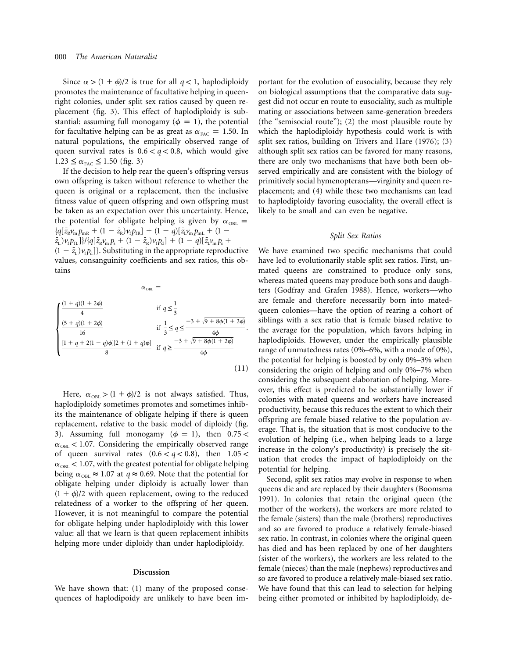Since  $\alpha$  >  $(1 + \phi)/2$  is true for all  $q < 1$ , haplodiploidy promotes the maintenance of facultative helping in queenright colonies, under split sex ratios caused by queen replacement (fig. 3). This effect of haplodiploidy is substantial: assuming full monogamy ( $\phi = 1$ ), the potential for facultative helping can be as great as  $\alpha_{\text{FAC}} = 1.50$ . In natural populations, the empirically observed range of queen survival rates is  $0.6 < q < 0.8$ , which would give  $1.23 \le \alpha_{FAC} \le 1.50$  (fig. 3)

If the decision to help rear the queen's offspring versus own offspring is taken without reference to whether the queen is original or a replacement, then the inclusive fitness value of queen offspring and own offspring must be taken as an expectation over this uncertainty. Hence, the potential for obligate helping is given by  $\alpha_{\text{OBL}} =$  ${q[\bar{z}_{R}v_{\rm m}p_{\rm mR} + (1 - \bar{z}_{R})v_{f}p_{\rm fR} + (1 - q)[\bar{z}_{L}v_{\rm m}p_{\rm mL} + (1 - \bar{z}_{R})v_{\rm mR} + \bar{z}_{R}v_{\rm mR} + (1 - \bar{z}_{R})v_{\rm mR} + \bar{z}_{R}v_{\rm mR} + \bar{z}_{R}v_{\rm mR} + \bar{z}_{R}v_{\rm mR} + \bar{z}_{R}v_{\rm mR} + \bar{z}_{R}v_{\rm mR} + \bar{z}_{R}v_{\rm mR} + \bar{z}_{R}v$  $\bar{z}_{\rm L}$ ) $v_{\rm f} p_{\rm fL}$ ]}/{*q*[ $\bar{z}_{\rm R} v_{\rm m} p_{\rm s} + (1 - \bar{z}_{\rm R}) v_{\rm f} p_{\rm d}$ ] +  $(1 - q) [\bar{z}_{\rm L} v_{\rm m} p_{\rm s} +$  $(1 - \bar{z}_L) v_f p_d$ }. Substituting in the appropriate reproductive values, consanguinity coefficients and sex ratios, this obtains



Here,  $\alpha_{\text{OBL}} > (1 + \phi)/2$  is not always satisfied. Thus, haplodiploidy sometimes promotes and sometimes inhibits the maintenance of obligate helping if there is queen replacement, relative to the basic model of diploidy (fig. 3). Assuming full monogamy ( $\phi = 1$ ), then 0.75 <  $\alpha_{\text{OBL}}$  < 1.07. Considering the empirically observed range of queen survival rates  $(0.6 < q < 0.8)$ , then  $1.05 <$  $\alpha_{\text{OBL}}$  < 1.07, with the greatest potential for obligate helping being  $\alpha_{\text{OBL}} \approx 1.07$  at  $q \approx 0.69$ . Note that the potential for obligate helping under diploidy is actually lower than  $(1 + \phi)/2$  with queen replacement, owing to the reduced relatedness of a worker to the offspring of her queen. However, it is not meaningful to compare the potential for obligate helping under haplodiploidy with this lower value: all that we learn is that queen replacement inhibits helping more under diploidy than under haplodiploidy.

#### **Discussion**

We have shown that: (1) many of the proposed consequences of haplodipoidy are unlikely to have been important for the evolution of eusociality, because they rely on biological assumptions that the comparative data suggest did not occur en route to eusociality, such as multiple mating or associations between same-generation breeders (the "semisocial route"); (2) the most plausible route by which the haplodiploidy hypothesis could work is with split sex ratios, building on Trivers and Hare (1976); (3) although split sex ratios can be favored for many reasons, there are only two mechanisms that have both been observed empirically and are consistent with the biology of primitively social hymenopterans—virginity and queen replacement; and (4) while these two mechanisms can lead to haplodiploidy favoring eusociality, the overall effect is likely to be small and can even be negative.

#### *Split Sex Ratios*

We have examined two specific mechanisms that could have led to evolutionarily stable split sex ratios. First, unmated queens are constrained to produce only sons, whereas mated queens may produce both sons and daughters (Godfray and Grafen 1988). Hence, workers—who are female and therefore necessarily born into matedqueen colonies—have the option of rearing a cohort of siblings with a sex ratio that is female biased relative to the average for the population, which favors helping in haplodiploids. However, under the empirically plausible range of unmatedness rates (0%–6%, with a mode of 0%), the potential for helping is boosted by only 0%–3% when considering the origin of helping and only 0%–7% when considering the subsequent elaboration of helping. Moreover, this effect is predicted to be substantially lower if colonies with mated queens and workers have increased productivity, because this reduces the extent to which their offspring are female biased relative to the population average. That is, the situation that is most conducive to the evolution of helping (i.e., when helping leads to a large increase in the colony's productivity) is precisely the situation that erodes the impact of haplodiploidy on the potential for helping.

Second, split sex ratios may evolve in response to when queens die and are replaced by their daughters (Boomsma 1991). In colonies that retain the original queen (the mother of the workers), the workers are more related to the female (sisters) than the male (brothers) reproductives and so are favored to produce a relatively female-biased sex ratio. In contrast, in colonies where the original queen has died and has been replaced by one of her daughters (sister of the workers), the workers are less related to the female (nieces) than the male (nephews) reproductives and so are favored to produce a relatively male-biased sex ratio. We have found that this can lead to selection for helping being either promoted or inhibited by haplodiploidy, de-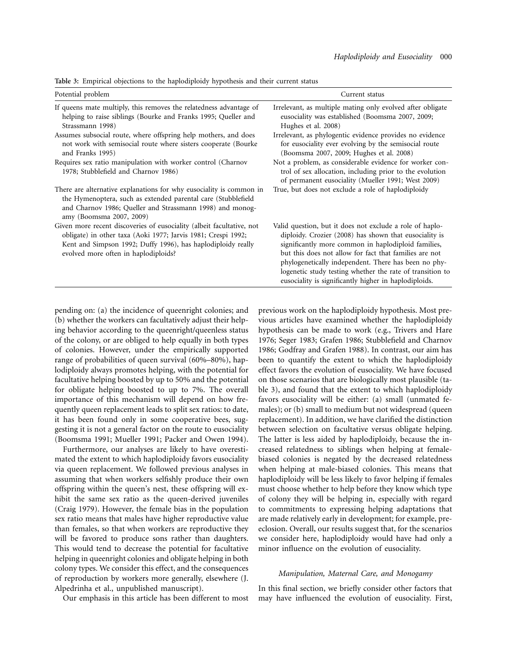| Potential problem                                                                                                                                                                                                                              | Current status                                                                                                                                                                                                                                                                                                                                                                                                    |
|------------------------------------------------------------------------------------------------------------------------------------------------------------------------------------------------------------------------------------------------|-------------------------------------------------------------------------------------------------------------------------------------------------------------------------------------------------------------------------------------------------------------------------------------------------------------------------------------------------------------------------------------------------------------------|
| If queens mate multiply, this removes the relatedness advantage of<br>helping to raise siblings (Bourke and Franks 1995; Queller and<br>Strassmann 1998)                                                                                       | Irrelevant, as multiple mating only evolved after obligate<br>eusociality was established (Boomsma 2007, 2009;<br>Hughes et al. 2008)                                                                                                                                                                                                                                                                             |
| Assumes subsocial route, where offspring help mothers, and does<br>not work with semisocial route where sisters cooperate (Bourke<br>and Franks 1995)                                                                                          | Irrelevant, as phylogentic evidence provides no evidence<br>for eusociality ever evolving by the semisocial route<br>(Boomsma 2007, 2009; Hughes et al. 2008)                                                                                                                                                                                                                                                     |
| Requires sex ratio manipulation with worker control (Charnov<br>1978; Stubblefield and Charnov 1986)                                                                                                                                           | Not a problem, as considerable evidence for worker con-<br>trol of sex allocation, including prior to the evolution<br>of permanent eusociality (Mueller 1991; West 2009)                                                                                                                                                                                                                                         |
| There are alternative explanations for why eusociality is common in<br>the Hymenoptera, such as extended parental care (Stubblefield<br>and Charnov 1986; Queller and Strassmann 1998) and monog-<br>amy (Boomsma 2007, 2009)                  | True, but does not exclude a role of haplodiploidy                                                                                                                                                                                                                                                                                                                                                                |
| Given more recent discoveries of eusociality (albeit facultative, not<br>obligate) in other taxa (Aoki 1977; Jarvis 1981; Crespi 1992;<br>Kent and Simpson 1992; Duffy 1996), has haplodiploidy really<br>evolved more often in haplodiploids? | Valid question, but it does not exclude a role of haplo-<br>diploidy. Crozier (2008) has shown that eusociality is<br>significantly more common in haplodiploid families,<br>but this does not allow for fact that families are not<br>phylogenetically independent. There has been no phy-<br>logenetic study testing whether the rate of transition to<br>eusociality is significantly higher in haplodiploids. |

**Table 3:** Empirical objections to the haplodiploidy hypothesis and their current status

pending on: (a) the incidence of queenright colonies; and (b) whether the workers can facultatively adjust their helping behavior according to the queenright/queenless status of the colony, or are obliged to help equally in both types of colonies. However, under the empirically supported range of probabilities of queen survival (60%–80%), haplodiploidy always promotes helping, with the potential for facultative helping boosted by up to 50% and the potential for obligate helping boosted to up to 7%. The overall importance of this mechanism will depend on how frequently queen replacement leads to split sex ratios: to date, it has been found only in some cooperative bees, suggesting it is not a general factor on the route to eusociality (Boomsma 1991; Mueller 1991; Packer and Owen 1994).

Furthermore, our analyses are likely to have overestimated the extent to which haplodiploidy favors eusociality via queen replacement. We followed previous analyses in assuming that when workers selfishly produce their own offspring within the queen's nest, these offspring will exhibit the same sex ratio as the queen-derived juveniles (Craig 1979). However, the female bias in the population sex ratio means that males have higher reproductive value than females, so that when workers are reproductive they will be favored to produce sons rather than daughters. This would tend to decrease the potential for facultative helping in queenright colonies and obligate helping in both colony types. We consider this effect, and the consequences of reproduction by workers more generally, elsewhere (J. Alpedrinha et al., unpublished manuscript).

Our emphasis in this article has been different to most

previous work on the haplodiploidy hypothesis. Most previous articles have examined whether the haplodiploidy hypothesis can be made to work (e.g., Trivers and Hare 1976; Seger 1983; Grafen 1986; Stubblefield and Charnov 1986; Godfray and Grafen 1988). In contrast, our aim has been to quantify the extent to which the haplodiploidy effect favors the evolution of eusociality. We have focused on those scenarios that are biologically most plausible (table 3), and found that the extent to which haplodiploidy favors eusociality will be either: (a) small (unmated females); or (b) small to medium but not widespread (queen replacement). In addition, we have clarified the distinction between selection on facultative versus obligate helping. The latter is less aided by haplodiploidy, because the increased relatedness to siblings when helping at femalebiased colonies is negated by the decreased relatedness when helping at male-biased colonies. This means that haplodiploidy will be less likely to favor helping if females must choose whether to help before they know which type of colony they will be helping in, especially with regard to commitments to expressing helping adaptations that are made relatively early in development; for example, preeclosion. Overall, our results suggest that, for the scenarios we consider here, haplodiploidy would have had only a minor influence on the evolution of eusociality.

## *Manipulation, Maternal Care, and Monogamy*

In this final section, we briefly consider other factors that may have influenced the evolution of eusociality. First,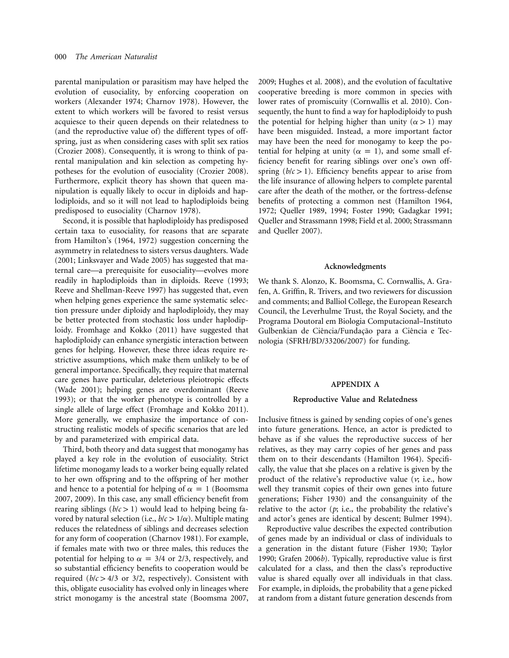parental manipulation or parasitism may have helped the evolution of eusociality, by enforcing cooperation on workers (Alexander 1974; Charnov 1978). However, the extent to which workers will be favored to resist versus acquiesce to their queen depends on their relatedness to (and the reproductive value of) the different types of offspring, just as when considering cases with split sex ratios (Crozier 2008). Consequently, it is wrong to think of parental manipulation and kin selection as competing hypotheses for the evolution of eusociality (Crozier 2008). Furthermore, explicit theory has shown that queen manipulation is equally likely to occur in diploids and haplodiploids, and so it will not lead to haplodiploids being predisposed to eusociality (Charnov 1978).

Second, it is possible that haplodiploidy has predisposed certain taxa to eusociality, for reasons that are separate from Hamilton's (1964, 1972) suggestion concerning the asymmetry in relatedness to sisters versus daughters. Wade (2001; Linksvayer and Wade 2005) has suggested that maternal care—a prerequisite for eusociality—evolves more readily in haplodiploids than in diploids. Reeve (1993; Reeve and Shellman-Reeve 1997) has suggested that, even when helping genes experience the same systematic selection pressure under diploidy and haplodiploidy, they may be better protected from stochastic loss under haplodiploidy. Fromhage and Kokko (2011) have suggested that haplodiploidy can enhance synergistic interaction between genes for helping. However, these three ideas require restrictive assumptions, which make them unlikely to be of general importance. Specifically, they require that maternal care genes have particular, deleterious pleiotropic effects (Wade 2001); helping genes are overdominant (Reeve 1993); or that the worker phenotype is controlled by a single allele of large effect (Fromhage and Kokko 2011). More generally, we emphasize the importance of constructing realistic models of specific scenarios that are led by and parameterized with empirical data.

Third, both theory and data suggest that monogamy has played a key role in the evolution of eusociality. Strict lifetime monogamy leads to a worker being equally related to her own offspring and to the offspring of her mother and hence to a potential for helping of  $\alpha = 1$  (Boomsma 2007, 2009). In this case, any small efficiency benefit from rearing siblings ( $b/c > 1$ ) would lead to helping being favored by natural selection (i.e.,  $b/c > 1/\alpha$ ). Multiple mating reduces the relatedness of siblings and decreases selection for any form of cooperation (Charnov 1981). For example, if females mate with two or three males, this reduces the potential for helping to  $\alpha = 3/4$  or 2/3, respectively, and so substantial efficiency benefits to cooperation would be required ( $b/c > 4/3$  or 3/2, respectively). Consistent with this, obligate eusociality has evolved only in lineages where strict monogamy is the ancestral state (Boomsma 2007,

2009; Hughes et al. 2008), and the evolution of facultative cooperative breeding is more common in species with lower rates of promiscuity (Cornwallis et al. 2010). Consequently, the hunt to find a way for haplodiploidy to push the potential for helping higher than unity ( $\alpha > 1$ ) may have been misguided. Instead, a more important factor may have been the need for monogamy to keep the potential for helping at unity ( $\alpha = 1$ ), and some small efficiency benefit for rearing siblings over one's own offspring  $(b/c > 1)$ . Efficiency benefits appear to arise from the life insurance of allowing helpers to complete parental care after the death of the mother, or the fortress-defense benefits of protecting a common nest (Hamilton 1964, 1972; Queller 1989, 1994; Foster 1990; Gadagkar 1991; Queller and Strassmann 1998; Field et al. 2000; Strassmann and Queller 2007).

#### **Acknowledgments**

We thank S. Alonzo, K. Boomsma, C. Cornwallis, A. Grafen, A. Griffin, R. Trivers, and two reviewers for discussion and comments; and Balliol College, the European Research Council, the Leverhulme Trust, the Royal Society, and the Programa Doutoral em Biologia Computacional–Instituto Gulbenkian de Ciência/Fundação para a Ciência e Tecnologia (SFRH/BD/33206/2007) for funding.

## **APPENDIX A**

#### **Reproductive Value and Relatedness**

Inclusive fitness is gained by sending copies of one's genes into future generations. Hence, an actor is predicted to behave as if she values the reproductive success of her relatives, as they may carry copies of her genes and pass them on to their descendants (Hamilton 1964). Specifically, the value that she places on a relative is given by the product of the relative's reproductive value  $(v; i.e., how$ well they transmit copies of their own genes into future generations; Fisher 1930) and the consanguinity of the relative to the actor  $(p; i.e., the probability the relative's$ and actor's genes are identical by descent; Bulmer 1994).

Reproductive value describes the expected contribution of genes made by an individual or class of individuals to a generation in the distant future (Fisher 1930; Taylor 1990; Grafen 2006*b*). Typically, reproductive value is first calculated for a class, and then the class's reproductive value is shared equally over all individuals in that class. For example, in diploids, the probability that a gene picked at random from a distant future generation descends from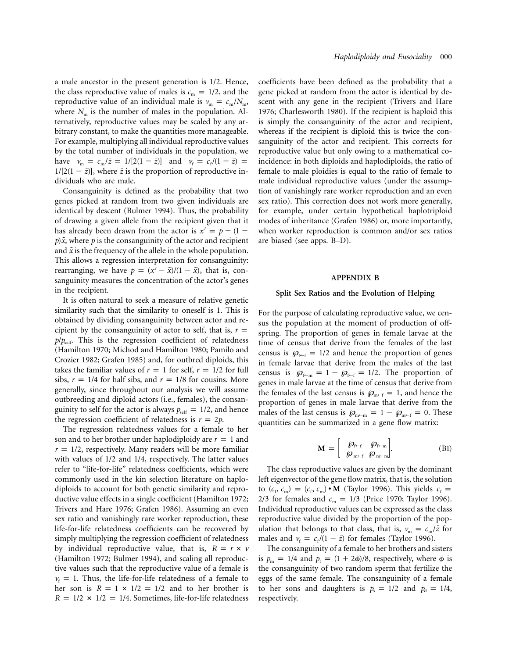a male ancestor in the present generation is 1/2. Hence, the class reproductive value of males is  $c_m = 1/2$ , and the reproductive value of an individual male is  $v_m = c_m / N_m$ , where  $N<sub>m</sub>$  is the number of males in the population. Alternatively, reproductive values may be scaled by any arbitrary constant, to make the quantities more manageable. For example, multiplying all individual reproductive values by the total number of individuals in the population, we have  $v_m = c_m / \bar{z} = 1/[2(1 - \bar{z})]$  and  $v_f = c_f / (1 - \bar{z}) =$  $1/[2(1 - \bar{z})]$ , where  $\bar{z}$  is the proportion of reproductive individuals who are male.

Consanguinity is defined as the probability that two genes picked at random from two given individuals are identical by descent (Bulmer 1994). Thus, the probability of drawing a given allele from the recipient given that it has already been drawn from the actor is  $x' = p + (1 - p)$  $p$ ) $\bar{x}$ , where  $p$  is the consanguinity of the actor and recipient and  $\bar{x}$  is the frequency of the allele in the whole population. This allows a regression interpretation for consanguinity: rearranging, we have  $p = (x' - \bar{x})/(1 - \bar{x})$ , that is, consanguinity measures the concentration of the actor's genes in the recipient.

It is often natural to seek a measure of relative genetic similarity such that the similarity to oneself is 1. This is obtained by dividing consanguinity between actor and recipient by the consanguinity of actor to self, that is,  $r =$  $p/p<sub>self</sub>$ . This is the regression coefficient of relatedness (Hamilton 1970; Michod and Hamilton 1980; Pamilo and Crozier 1982; Grafen 1985) and, for outbred diploids, this takes the familiar values of  $r = 1$  for self,  $r = 1/2$  for full sibs,  $r = 1/4$  for half sibs, and  $r = 1/8$  for cousins. More generally, since throughout our analysis we will assume outbreeding and diploid actors (i.e., females), the consanguinity to self for the actor is always  $p_{\text{self}} = 1/2$ , and hence the regression coefficient of relatedness is  $r = 2p$ .

The regression relatedness values for a female to her son and to her brother under haplodiploidy are  $r = 1$  and  $r = 1/2$ , respectively. Many readers will be more familiar with values of 1/2 and 1/4, respectively. The latter values refer to "life-for-life" relatedness coefficients, which were commonly used in the kin selection literature on haplodiploids to account for both genetic similarity and reproductive value effects in a single coefficient (Hamilton 1972; Trivers and Hare 1976; Grafen 1986). Assuming an even sex ratio and vanishingly rare worker reproduction, these life-for-life relatedness coefficients can be recovered by simply multiplying the regression coefficient of relatedness by individual reproductive value, that is,  $R = r \times v$ (Hamilton 1972; Bulmer 1994), and scaling all reproductive values such that the reproductive value of a female is  $v_f = 1$ . Thus, the life-for-life relatedness of a female to her son is  $R = 1 \times 1/2 = 1/2$  and to her brother is  $R = 1/2 \times 1/2 = 1/4$ . Sometimes, life-for-life relatedness

coefficients have been defined as the probability that a gene picked at random from the actor is identical by descent with any gene in the recipient (Trivers and Hare 1976; Charlesworth 1980). If the recipient is haploid this is simply the consanguinity of the actor and recipient, whereas if the recipient is diploid this is twice the consanguinity of the actor and recipient. This corrects for reproductive value but only owing to a mathematical coincidence: in both diploids and haplodiploids, the ratio of female to male ploidies is equal to the ratio of female to male individual reproductive values (under the assumption of vanishingly rare worker reproduction and an even sex ratio). This correction does not work more generally, for example, under certain hypothetical haplotriploid modes of inheritance (Grafen 1986) or, more importantly, when worker reproduction is common and/or sex ratios are biased (see apps. B–D).

## **APPENDIX B**

#### **Split Sex Ratios and the Evolution of Helping**

For the purpose of calculating reproductive value, we census the population at the moment of production of offspring. The proportion of genes in female larvae at the time of census that derive from the females of the last census is  $\wp_{f \leftarrow f} = 1/2$  and hence the proportion of genes in female larvae that derive from the males of the last census is  $\wp_{f \leftarrow m} = 1 - \wp_{f \leftarrow f} = 1/2$ . The proportion of genes in male larvae at the time of census that derive from the females of the last census is  $\wp_{m-f} = 1$ , and hence the proportion of genes in male larvae that derive from the males of the last census is  $\wp_{m+m} = 1 - \wp_{m+n} = 0$ . These quantities can be summarized in a gene flow matrix:

$$
\mathbf{M} = \begin{bmatrix} \mathcal{D}_{f \leftarrow f} & \mathcal{D}_{f \leftarrow m} \\ \mathcal{D}_{m \leftarrow f} & \mathcal{D}_{m \leftarrow m} \end{bmatrix} . \tag{B1}
$$

The class reproductive values are given by the dominant left eigenvector of the gene flow matrix, that is, the solution to  $(c_f, c_m) = (c_f, c_m) \cdot M$  (Taylor 1996). This yields  $c_f =$ 2/3 for females and  $c_m = 1/3$  (Price 1970; Taylor 1996). Individual reproductive values can be expressed as the class reproductive value divided by the proportion of the population that belongs to that class, that is,  $v_m = c_m / \bar{z}$  for males and  $v_f = c_f/(1 - \bar{z})$  for females (Taylor 1996).

The consanguinity of a female to her brothers and sisters is  $p_m = 1/4$  and  $p_f = (1 + 2\phi)/8$ , respectively, where  $\phi$  is the consanguinity of two random sperm that fertilize the eggs of the same female. The consanguinity of a female to her sons and daughters is  $p_s = 1/2$  and  $p_d = 1/4$ , respectively.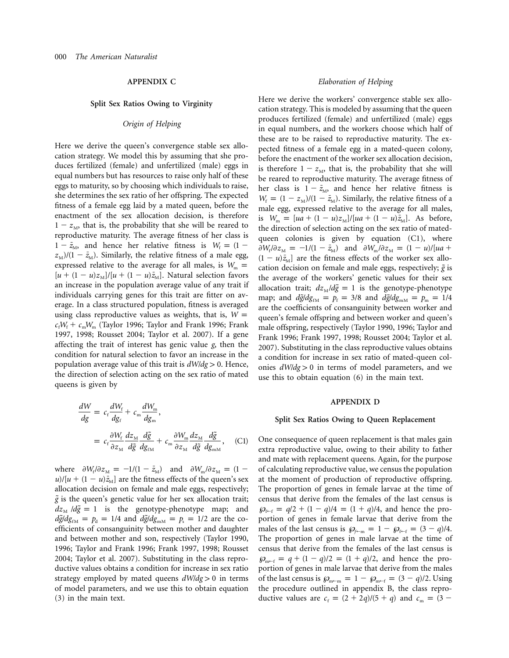## **APPENDIX C**

#### **Split Sex Ratios Owing to Virginity**

## *Origin of Helping*

Here we derive the queen's convergence stable sex allocation strategy. We model this by assuming that she produces fertilized (female) and unfertilized (male) eggs in equal numbers but has resources to raise only half of these eggs to maturity, so by choosing which individuals to raise, she determines the sex ratio of her offspring. The expected fitness of a female egg laid by a mated queen, before the enactment of the sex allocation decision, is therefore  $1 - z_M$ , that is, the probability that she will be reared to reproductive maturity. The average fitness of her class is  $1 - \bar{z}_{M}$ , and hence her relative fitness is  $W_{\rm f} = (1$  $z_M$ / $(1 - \bar{z}_M)$ . Similarly, the relative fitness of a male egg, expressed relative to the average for all males, is  $W_m =$  $[u + (1 - u)z_M]/[u + (1 - u)\bar{z}_M]$ . Natural selection favors an increase in the population average value of any trait if individuals carrying genes for this trait are fitter on average. In a class structured population, fitness is averaged using class reproductive values as weights, that is,  $W =$  $c_f W_f + c_m W_m$  (Taylor 1996; Taylor and Frank 1996; Frank 1997, 1998; Rousset 2004; Taylor et al. 2007). If a gene affecting the trait of interest has genic value *g*, then the condition for natural selection to favor an increase in the population average value of this trait is  $dW/dg > 0$ . Hence, the direction of selection acting on the sex ratio of mated queens is given by

$$
\frac{dW}{dg} = c_f \frac{dW_f}{dg_f} + c_m \frac{dW_m}{dg_m},
$$
\n
$$
= c_f \frac{\partial W_f}{\partial z_M} \frac{dz_M}{d\tilde{g}} \frac{d\tilde{g}}{dg_{fm}} + c_m \frac{\partial W_m}{\partial z_M} \frac{dz_M}{d\tilde{g}} \frac{d\tilde{g}}{dg_{mm}}, \quad \text{(C1)}
$$

where  $\partial W_f / \partial z_M = -1/(1 - \bar{z}_M)$  and  $\partial W_m / \partial z_M = (1 - \bar{z}_M)^2$  $u$ //[ $u + (1 - u)\bar{z}_{\text{M}}$ ] are the fitness effects of the queen's sex allocation decision on female and male eggs, respectively;  $\tilde{g}$  is the queen's genetic value for her sex allocation trait;  $dz_M$  /*d* $\tilde{g} = 1$  is the genotype-phenotype map; and  $d\tilde{g}/d g_{fM} = p_d = 1/4$  and  $d\tilde{g}/d g_{mM} = p_s = 1/2$  are the coefficients of consanguinity between mother and daughter and between mother and son, respectively (Taylor 1990, 1996; Taylor and Frank 1996; Frank 1997, 1998; Rousset 2004; Taylor et al. 2007). Substituting in the class reproductive values obtains a condition for increase in sex ratio strategy employed by mated queens  $dW/dg > 0$  in terms of model parameters, and we use this to obtain equation (3) in the main text.

## *Elaboration of Helping*

Here we derive the workers' convergence stable sex allocation strategy. This is modeled by assuming that the queen produces fertilized (female) and unfertilized (male) eggs in equal numbers, and the workers choose which half of these are to be raised to reproductive maturity. The expected fitness of a female egg in a mated-queen colony, before the enactment of the worker sex allocation decision, is therefore  $1 - z_M$ , that is, the probability that she will be reared to reproductive maturity. The average fitness of her class is  $1 - \bar{z}_M$ , and hence her relative fitness is  $W_{\rm f} = (1 - z_{\rm M})/(1 - \bar{z}_{\rm M})$ . Similarly, the relative fitness of a male egg, expressed relative to the average for all males, is  $W_{\text{m}} = [ua + (1 - u)z_{\text{M}}]/[ua + (1 - u)\bar{z}_{\text{M}}]$ . As before, the direction of selection acting on the sex ratio of matedqueen colonies is given by equation (C1), where  $\partial W_f / \partial z_M = -1/(1 - \bar{z}_M)$  and  $\partial W_m / \partial z_M = (1 - u) / [u \bar{z}_M + \bar{z}_M]$  $(1 - u)\bar{z}_M$ ] are the fitness effects of the worker sex allocation decision on female and male eggs, respectively;  $\tilde{g}$  is the average of the workers' genetic values for their sex allocation trait;  $dz_M/d\tilde{g} = 1$  is the genotype-phenotype map; and  $d\tilde{g}/dg_{\text{fM}} = p_f = 3/8$  and  $d\tilde{g}/dg_{\text{mM}} = p_m = 1/4$ are the coefficients of consanguinity between worker and queen's female offspring and between worker and queen's male offspring, respectively (Taylor 1990, 1996; Taylor and Frank 1996; Frank 1997, 1998; Rousset 2004; Taylor et al. 2007). Substituting in the class reproductive values obtains a condition for increase in sex ratio of mated-queen colonies  $dW/dg > 0$  in terms of model parameters, and we use this to obtain equation (6) in the main text.

## **APPENDIX D**

#### **Split Sex Ratios Owing to Queen Replacement**

One consequence of queen replacement is that males gain extra reproductive value, owing to their ability to father and mate with replacement queens. Again, for the purpose of calculating reproductive value, we census the population at the moment of production of reproductive offspring. The proportion of genes in female larvae at the time of census that derive from the females of the last census is  $\wp_{f-f} = q/2 + (1 - q)/4 = (1 + q)/4$ , and hence the proportion of genes in female larvae that derive from the males of the last census is  $\wp_{f \leftarrow m} = 1 - \wp_{f \leftarrow f} = (3 - q)/4$ . The proportion of genes in male larvae at the time of census that derive from the females of the last census is  $\wp_{m \leftarrow f} = q + (1 - q)/2 = (1 + q)/2$ , and hence the proportion of genes in male larvae that derive from the males of the last census is  $\wp_{m+m} = 1 - \wp_{m+n} = (3 - q)/2$ . Using the procedure outlined in appendix B, the class reproductive values are  $c_f = (2 + 2q)/(5 + q)$  and  $c_m = (3 - q)$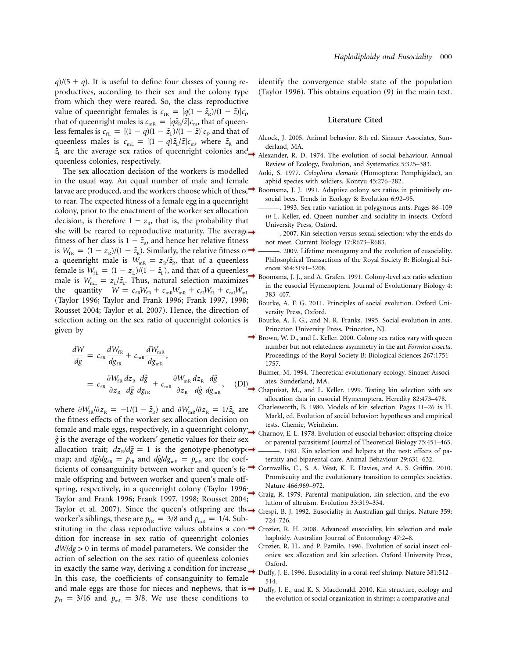$q$ )/(5 + q). It is useful to define four classes of young reproductives, according to their sex and the colony type from which they were reared. So, the class reproductive value of queenright females is  $c_{\text{fr}} = [q(1 - \bar{z}_{\text{R}})/(1 - \bar{z})]c_{\text{r}}$ that of queenright males is  $c_{\text{mR}} = [q\bar{z}_{\text{R}}/\bar{z}]c_{\text{m}}$ , that of queenless females is  $c_{fL} = [(1 - q)(1 - \bar{z}_L)/(1 - \bar{z})]c_{\rho}$  and that of queenless males is  $c_{mL} = [(1 - q)\bar{z}_L/\bar{z}]c_m$ , where  $\bar{z}_R$  and  $\bar{z}_L$  are the average sex ratios of queenright colonies and  $\rightarrow$  Alexander R F queenless colonies, respectively.

The sex allocation decision of the workers is modelled in the usual way. An equal number of male and female larvae are produced, and the workers choose which of these to rear. The expected fitness of a female egg in a queenright colony, prior to the enactment of the worker sex allocation decision, is therefore  $1 - z_{R}$ , that is, the probability that she will be reared to reproductive maturity. The average  $\rightarrow$ fitness of her class is  $1 - \bar{z}_R$ , and hence her relative fitness is  $W_{\text{FR}} = (1 - z_{\text{R}})/(1 - \bar{z}_{\text{R}})$ . Similarly, the relative fitness of a queenright male is  $W_{\text{mR}} = z_R/\bar{z}_R$ , that of a queenless female is  $W_{fL} = (1 - z_L)/(1 - \bar{z}_L)$ , and that of a queenless male is  $W_{\text{mL}} = z_{\text{L}}/\bar{z}_{\text{L}}$ . Thus, natural selection maximizes the quantity  $W = c_{\text{fR}} W_{\text{fR}} + c_{\text{mR}} W_{\text{mR}} + c_{\text{fL}} W_{\text{fL}} + c_{\text{mL}} W_{\text{mL}}$ (Taylor 1996; Taylor and Frank 1996; Frank 1997, 1998; Rousset 2004; Taylor et al. 2007). Hence, the direction of selection acting on the sex ratio of queenright colonies is given by

$$
\frac{dW}{dg} = c_{\text{fR}} \frac{dW_{\text{fR}}}{dg_{\text{fR}}} + c_{\text{mR}} \frac{dW_{\text{mR}}}{dg_{\text{mR}}},
$$
\n
$$
= c_{\text{fR}} \frac{\partial W_{\text{fR}}}{\partial z_{\text{R}}} \frac{dz_{\text{R}}}{d\tilde{g}} \frac{d\tilde{g}}{dg_{\text{fR}}} + c_{\text{mR}} \frac{\partial W_{\text{mR}}}{\partial z_{\text{R}}} \frac{dz_{\text{R}}}{d\tilde{g}} \frac{d\tilde{g}}{dg_{\text{mR}}}, \quad (DI)
$$

where  $\partial W_{\text{FR}}/\partial z_{\text{R}} = -1/(1 - \bar{z}_{\text{R}})$  and  $\partial W_{\text{mR}}/\partial z_{\text{R}} = 1/\bar{z}_{\text{R}}$  are the fitness effects of the worker sex allocation decision on female and male eggs, respectively, in a queenright colony;  $\tilde{g}$  is the average of the workers' genetic values for their sex allocation trait;  $dz_{R}/d\tilde{g} = 1$  is the genotype-phenotype  $\rightarrow$ map; and  $d\tilde{g}/d g_{\text{FR}} = p_{\text{FR}}$  and  $d\tilde{g}/d g_{\text{mR}} = p_{\text{mR}}$  are the coefficients of consanguinity between worker and queen's female offspring and between worker and queen's male offspring, respectively, in a queenright colony (Taylor 1996; Taylor and Frank 1996; Frank 1997, 1998; Rousset 2004; Taylor et al. 2007). Since the queen's offspring are the  $\rightarrow$ worker's siblings, these are  $p_{\text{fr}} = 3/8$  and  $p_{\text{mR}} = 1/4$ . Substituting in the class reproductive values obtains a con Crozier, R. H. 2008. Advanced eusociality, kin selection and male dition for increase in sex ratio of queenright colonies  $dW/dg > 0$  in terms of model parameters. We consider the action of selection on the sex ratio of queenless colonies in exactly the same way, deriving a condition for increase  $\rightarrow$ In this case, the coefficients of consanguinity to female and male eggs are those for nieces and nephews, that is  $\rightarrow$  Duffy, J. E., and K. S. Macdonald. 2010. Kin structure, ecology and  $p_{\text{fL}} = 3/16$  and  $p_{\text{mL}} = 3/8$ . We use these conditions to

identify the convergence stable state of the population (Taylor 1996). This obtains equation (9) in the main text.

#### **Literature Cited**

- Alcock, J. 2005. Animal behavior. 8th ed. Sinauer Associates, Sun-
- Alexander, R. D. 1974. The evolution of social behaviour. Annual Review of Ecology, Evolution, and Systematics 5:325–383.
- Aoki, S. 1977. *Colophina clematis* (Homoptera: Pemphigidae), an aphid species with soldiers. Kontyu 45:276–282.
- Boomsma, J. J. 1991. Adaptive colony sex ratios in primitively eusocial bees. Trends in Ecology & Evolution 6:92–95.
- ———. 1993. Sex ratio variation in polygynous ants. Pages 86–109 *in* L. Keller, ed. Queen number and sociality in insects. Oxford University Press, Oxford.
- . 2007. Kin selection versus sexual selection: why the ends do not meet. Current Biology 17:R673–R683.
- 2009. Lifetime monogamy and the evolution of eusociality. Philosophical Transactions of the Royal Society B: Biological Sciences 364:3191–3208.
- Boomsma, J. J., and A. Grafen. 1991. Colony-level sex ratio selection in the eusocial Hymenoptera. Journal of Evolutionary Biology 4: 383–407.
- Bourke, A. F. G. 2011. Principles of social evolution. Oxford University Press, Oxford.
- Bourke, A. F. G., and N. R. Franks. 1995. Social evolution in ants. Princeton University Press, Princeton, NJ.
- $\rightarrow$  Brown, W. D., and L. Keller. 2000. Colony sex ratios vary with queen number but not relatedness asymmetry in the ant *Formica exsecta*. Proceedings of the Royal Society B: Biological Sciences 267:1751– 1757.
	- Bulmer, M. 1994. Theoretical evolutionary ecology. Sinauer Associates, Sunderland, MA.
- Chapuisat, M., and L. Keller. 1999. Testing kin selection with sex allocation data in eusocial Hymenoptera. Heredity 82:473–478.
	- Charlesworth, B. 1980. Models of kin selection. Pages 11–26 *in* H. Markl, ed. Evolution of social behavior: hypotheses and empirical tests. Chemie, Weinheim.
	- Charnov, E. L. 1978. Evolution of eusocial behavior: offspring choice or parental parasitism? Journal of Theoretical Biology 75:451–465. -. 1981. Kin selection and helpers at the nest: effects of paternity and biparental care. Animal Behaviour 29:631–632.
	- Cornwallis, C., S. A. West, K. E. Davies, and A. S. Griffin. 2010. Promiscuity and the evolutionary transition to complex societies. Nature 466:969–972.
	- Craig, R. 1979. Parental manipulation, kin selection, and the evolution of altruism. Evolution 33:319–334.
	- Crespi, B. J. 1992. Eusociality in Australian gall thrips. Nature 359: 724–726.
	- haploidy. Australian Journal of Entomology 47:2–8.
	- Crozier, R. H., and P. Pamilo. 1996. Evolution of social insect colonies: sex allocation and kin selection. Oxford University Press, Oxford.
	- Duffy, J. E. 1996. Eusociality in a coral-reef shrimp. Nature 381:512– 514.
	- the evolution of social organization in shrimp: a comparative anal-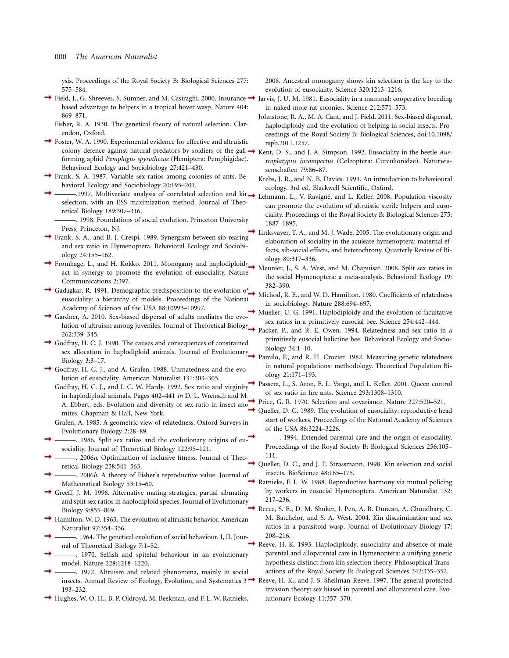ysis. Proceedings of the Royal Society B: Biological Sciences 277: 575–584.

- Field, J., G. Shreeves, S. Sumner, and M. Casiraghi. 2000. Insurance based advantage to helpers in a tropical hover wasp. Nature 404: 869–871.
	- Fisher, R. A. 1930. The genetical theory of natural selection. Clarendon, Oxford.
- Foster, W. A. 1990. Experimental evidence for effective and altruistic colony defence against natural predators by soldiers of the gall-Kent, D. S., and J. A. Simpson. 1992. Eusociality in the beetle *Aus*forming aphid *Pemphigus spyrothecae* (Hemiptera: Pemphigidae). Behavioral Ecology and Sociobiology 27:421–430.
- Frank, S. A. 1987. Variable sex ratios among colonies of ants. Behavioral Ecology and Sociobiology 20:195–201.
- $-1997$ . Multivariate analysis of correlated selection and kin $\rightarrow$ selection, with an ESS maximization method. Journal of Theoretical Biology 189:307–316.
	- ———. 1998. Foundations of social evolution. Princeton University Press, Princeton, NJ.
- Frank, S. A., and B. J. Crespi. 1989. Synergism between sib-rearing and sex ratio in Hymenoptera. Behavioral Ecology and Sociobiology 24:155–162.
- Fromhage, L., and H. Kokko. 2011. Monogamy and haplodiploid act in synergy to promote the evolution of eusociality. Nature Communications 2:397.
- Gadagkar, R. 1991. Demographic predisposition to the evolution of eusociality: a hierarchy of models. Proceedings of the National Academy of Sciences of the USA 88:10993–10997.
- Gardner, A. 2010. Sex-biased dispersal of adults mediates the evolution of altruism among juveniles. Journal of Theoretical Biology 262:339–345.
- Godfray, H. C. J. 1990. The causes and consequences of constrained sex allocation in haplodiploid animals. Journal of Evolutionary Biology 3:3–17.
- Godfray, H. C. J., and A. Grafen. 1988. Unmatedness and the evolution of eusociality. American Naturalist 131:303–305.
	- Godfray, H. C. J., and I. C. W. Hardy. 1992. Sex ratio and virginity in haplodiploid animals. Pages 402–441 *in* D. L. Wrensch and M. A. Ebbert, eds. Evolution and diversity of sex ratio in insect and mites. Chapman & Hall, New York.
	- Grafen, A. 1985. A geometric view of relatedness. Oxford Surveys in Evolutionary Biology 2:28–89.
- ———. 1986. Split sex ratios and the evolutionary origins of eusociality. Journal of Theoretical Biology 122:95–121.
- ———. 2006*a*. Optimization of inclusive fitness. Journal of Theoretical Biology 238:541–563.
- ———. 2006*b*. A theory of Fisher's reproductive value. Journal of Mathematical Biology 53:15–60.
- Greeff, J. M. 1996. Alternative mating strategies, partial sibmating and split sex ratios in haplodiploid species. Journal of Evolutionary Biology 9:855–869.
- Hamilton, W. D. 1963. The evolution of altruistic behavior. American Naturalist 97:354–356.
- ———. 1964. The genetical evolution of social behaviour. I, II. Journal of Theoretical Biology 7:1–52.
- ———. 1970. Selfish and spiteful behaviour in an evolutionary model. Nature 228:1218–1220.
- ———. 1972. Altruism and related phenomena, mainly in social insects. Annual Review of Ecology, Evolution, and Systematics 3: 193–232.
- Hughes, W. O. H., B. P. Oldroyd, M. Beekman, and F. L. W. Ratnieks.

2008. Ancestral monogamy shows kin selection is the key to the evolution of eusociality. Science 320:1213–1216.

- Jarvis, J. U. M. 1981. Eusociality in a mammal: cooperative breeding in naked mole-rat colonies. Science 212:571–573.
- Johnstone, R. A., M. A. Cant, and J. Field. 2011. Sex-biased dispersal, haplodiploidy and the evolution of helping in social insects. Proceedings of the Royal Society B: Biological Sciences, doi:10.1098/ rspb.2011.1257.
- *troplatypus incompertus* (Coleoptera: Curculionidae). Naturwissenschaften 79:86–87.
- Krebs, J. R., and N. B. Davies. 1993. An introduction to behavioural ecology. 3rd ed. Blackwell Scientific, Oxford.
- Lehmann, L., V. Ravigné, and L. Keller. 2008. Population viscosity can promote the evolution of altruistic sterile helpers and eusociality. Proceedings of the Royal Society B: Biological Sciences 275: 1887–1895.
- Linksvayer, T. A., and M. J. Wade. 2005. The evolutionary origin and elaboration of sociality in the aculeate hymenoptera: maternal effects, sib-social effects, and heterochrony. Quarterly Review of Biology 80:317–336.
- Meunier, J., S. A. West, and M. Chapuisat. 2008. Split sex ratios in the social Hymenoptera: a meta-analysis. Behavioral Ecology 19: 382–390.
- Michod, R. E., and W. D. Hamilton. 1980. Coefficients of relatedness in sociobiology. Nature 288:694–697.
- Mueller, U. G. 1991. Haplodiploidy and the evolution of facultative sex ratios in a primitively eusocial bee. Science 254:442–444.
- Packer, P., and R. E. Owen. 1994. Relatedness and sex ratio in a primitively eusocial halictine bee. Behavioral Ecology and Sociobiology 34:1–10.
- Pamilo, P., and R. H. Crozier. 1982. Measuring genetic relatedness in natural populations: methodology. Theoretical Population Biology 21:171–193.
- Passera, L., S. Aron, E. L. Vargo, and L. Keller. 2001. Queen control of sex ratio in fire ants. Science 293:1308–1310.
- Price, G. R. 1970. Selection and covariance. Nature 227:520–521.
- Queller, D. C. 1989. The evolution of eusociality: reproductive head start of workers. Proceedings of the National Academy of Sciences of the USA 86:3224–3226.
- -. 1994. Extended parental care and the origin of eusociality. Proceedings of the Royal Society B: Biological Sciences 256:105– 111.
- Queller, D. C., and J. E. Strassmann. 1998. Kin selection and social insects. BioScience 48:165–175.
- Ratnieks, F. L. W. 1988. Reproductive harmony via mutual policing by workers in eusocial Hymenoptera. American Naturalist 132: 217–236.
- Reece, S. E., D. M. Shuker, I. Pen, A. B. Duncan, A. Choudhary, C. M. Batchelor, and S. A. West. 2004. Kin discrimination and sex ratios in a parasitoid wasp. Journal of Evolutionary Biology 17: 208–216.
- Reeve, H. K. 1993. Haplodiploidy, eusociality and absence of male parental and alloparental care in Hymenoptera: a unifying genetic hypothesis distinct from kin selection theory. Philosophical Transactions of the Royal Society B: Biological Sciences 342:335–352.
- Reeve, H. K., and J. S. Shellman-Reeve. 1997. The general protected invasion theory: sex biased in parental and alloparental care. Evolutionary Ecology 11:357–370.